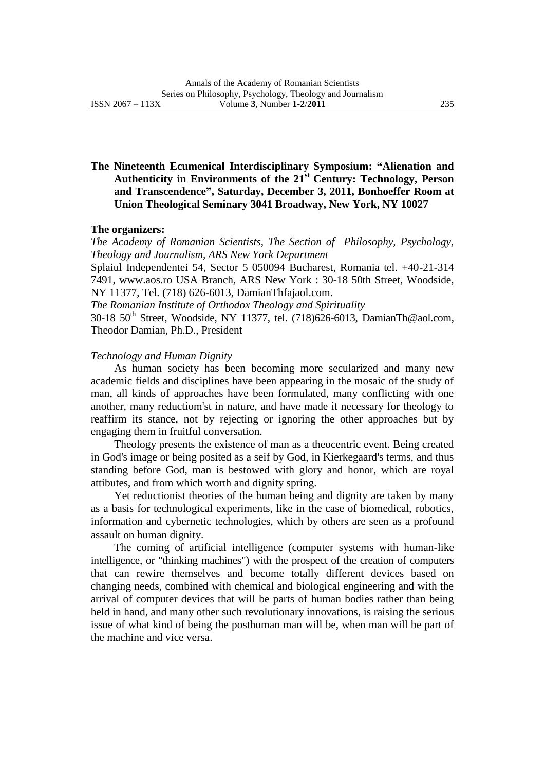# **The Nineteenth Ecumenical Interdisciplinary Symposium: "Alienation and Authenticity in Environments of the 21st Century: Technology, Person and Transcendence", Saturday, December 3, 2011, Bonhoeffer Room at Union Theological Seminary 3041 Broadway, New York, NY 10027**

#### **The organizers:**

*The Academy of Romanian Scientists, The Section of Philosophy, Psychology, Theology and Journalism, ARS New York Department*

Splaiul Independentei 54, Sector 5 050094 Bucharest, Romania tel. +40-21-314 7491, www.aos.ro USA Branch, ARS New York : 30-18 50th Street, Woodside, NY 11377, Tel. (718) 626-6013, DamianThfajaol.com.

*The Romanian Institute of Orthodox Theology and Spirituality*

30-18 50<sup>th</sup> Street, Woodside, NY 11377, tel. (718)626-6013, [DamianTh@aol.com,](mailto:DamianTh@aol.com) Theodor Damian, Ph.D., President

## *Technology and Human Dignity*

As human society has been becoming more secularized and many new academic fields and disciplines have been appearing in the mosaic of the study of man, all kinds of approaches have been formulated, many conflicting with one another, many reductiom'st in nature, and have made it necessary for theology to reaffirm its stance, not by rejecting or ignoring the other approaches but by engaging them in fruitful conversation.

Theology presents the existence of man as a theocentric event. Being created in God's image or being posited as a seif by God, in Kierkegaard's terms, and thus standing before God, man is bestowed with glory and honor, which are royal attibutes, and from which worth and dignity spring.

Yet reductionist theories of the human being and dignity are taken by many as a basis for technological experiments, like in the case of biomedical, robotics, information and cybernetic technologies, which by others are seen as a profound assault on human dignity.

The coming of artificial intelligence (computer systems with human-like intelligence, or "thinking machines") with the prospect of the creation of computers that can rewire themselves and become totally different devices based on changing needs, combined with chemical and biological engineering and with the arrival of computer devices that will be parts of human bodies rather than being held in hand, and many other such revolutionary innovations, is raising the serious issue of what kind of being the posthuman man will be, when man will be part of the machine and vice versa.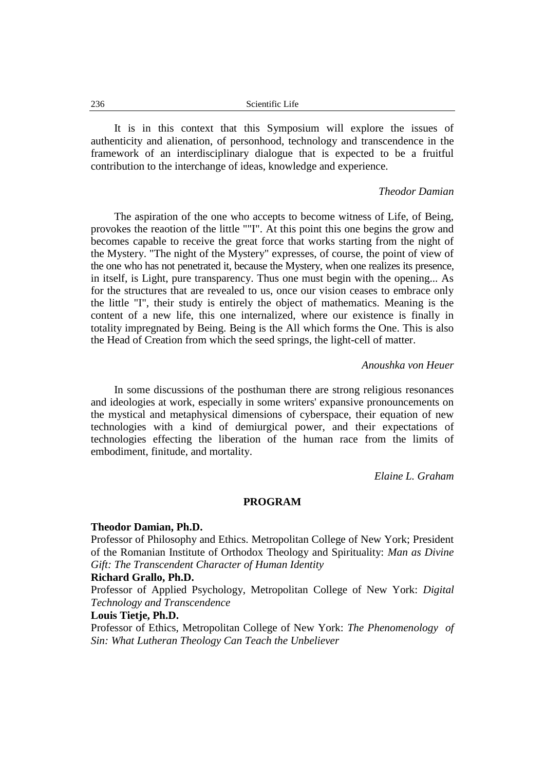It is in this context that this Symposium will explore the issues of authenticity and alienation, of personhood, technology and transcendence in the framework of an interdisciplinary dialogue that is expected to be a fruitful contribution to the interchange of ideas, knowledge and experience.

### *Theodor Damian*

The aspiration of the one who accepts to become witness of Life, of Being, provokes the reaotion of the little ""I". At this point this one begins the grow and becomes capable to receive the great force that works starting from the night of the Mystery. "The night of the Mystery" expresses, of course, the point of view of the one who has not penetrated it, because the Mystery, when one realizes its presence, in itself, is Light, pure transparency. Thus one must begin with the opening... As for the structures that are revealed to us, once our vision ceases to embrace only the little "I", their study is entirely the object of mathematics. Meaning is the content of a new life, this one internalized, where our existence is finally in totality impregnated by Being. Being is the All which forms the One. This is also the Head of Creation from which the seed springs, the light-cell of matter.

### *Anoushka von Heuer*

In some discussions of the posthuman there are strong religious resonances and ideologies at work, especially in some writers' expansive pronouncements on the mystical and metaphysical dimensions of cyberspace, their equation of new technologies with a kind of demiurgical power, and their expectations of technologies effecting the liberation of the human race from the limits of embodiment, finitude, and mortality.

*Elaine L. Graham*

#### **PROGRAM**

#### **Theodor Damian, Ph.D.**

Professor of Philosophy and Ethics. Metropolitan College of New York; President of the Romanian Institute of Orthodox Theology and Spirituality: *Man as Divine Gift: The Transcendent Character of Human Identity*

# **Richard Grallo, Ph.D.**

Professor of Applied Psychology, Metropolitan College of New York: *Digital Technology and Transcendence*

# **Louis Tietje, Ph.D.**

Professor of Ethics, Metropolitan College of New York: *The Phenomenology of Sin: What Lutheran Theology Can Teach the Unbeliever*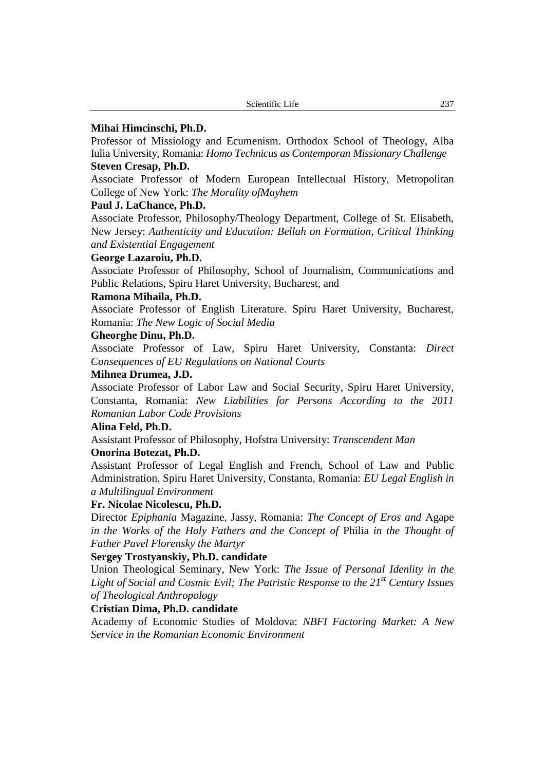### **Mihai Himcinschi, Ph.D.**

Professor of Missiology and Ecumenism. Orthodox School of Theology, Alba Iulia University, Romania: *Homo Technicus as Contemporan Missionary Challenge*

# **Steven Cresap, Ph.D.**

Associate Professor of Modern European Intellectual History, Metropolitan College of New York: *The Morality ofMayhem*

## **Paul J. LaChance, Ph.D.**

Associate Professor, Philosophy/Theology Department, College of St. Elisabeth, New Jersey: *Authenticity and Education: Bellah on Formation, Critical Thinking and Existential Engagement*

## **George Lazaroiu, Ph.D.**

Associate Professor of Philosophy, School of Journalism, Communications and Public Relations, Spiru Haret University, Bucharest, and

## **Ramona Mihaila, Ph.D.**

Associate Professor of English Literature. Spiru Haret University, Bucharest, Romania: *The New Logic of Social Media*

# **Gheorghe Dinu, Ph.D.**

Associate Professor of Law, Spiru Haret University, Constanta: *Direct Consequences of EU Regulations on National Courts*

#### **Mihnea Drumea, J.D.**

Associate Professor of Labor Law and Social Security, Spiru Haret University, Constanta, Romania: *New Liabilities for Persons According to the 2011 Romanian Labor Code Provisions*

# **Alina Feld, Ph.D.**

Assistant Professor of Philosophy, Hofstra University: *Transcendent Man*

## **Onorina Botezat, Ph.D.**

Assistant Professor of Legal English and French, School of Law and Public Administration, Spiru Haret University, Constanta, Romania: *EU Legal English in a Multilingual Environment*

## **Fr. Nicolae Nicolescu, Ph.D.**

Director *Epiphania* Magazine, Jassy, Romania: *The Concept of Eros and* Agape *in the Works of the Holy Fathers and the Concept of* Philia *in the Thought of Father Pavel Florensky the Martyr*

## **Sergey Trostyanskiy, Ph.D. candidate**

Union Theological Seminary, New York: *The Issue of Personal Idenlity in the Light of Social and Cosmic Evil; The Patristic Response to the 21st Century Issues of Theological Anthropology*

# **Cristian Dima, Ph.D. candidate**

Academy of Economic Studies of Moldova: *NBFI Factoring Market: A New Service in the Romanian Economic Environment*